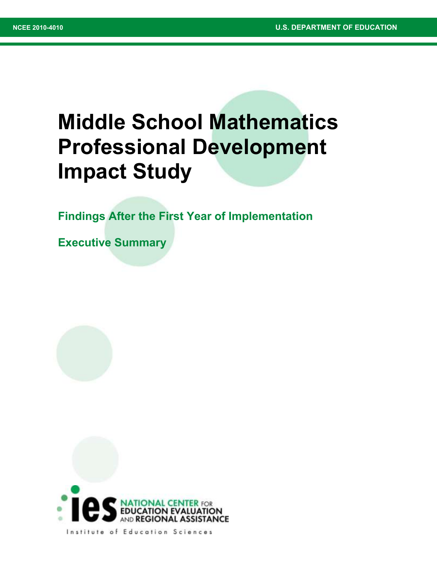# **Middle School Mathematics Professional Development Impact Study**

**Findings After the First Year of Implementation**

**Executive Summary**



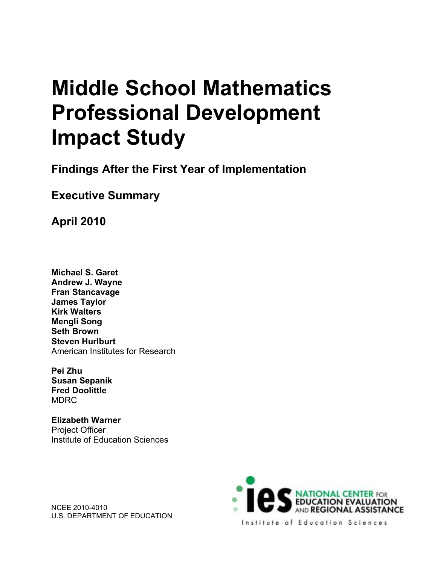# **Middle School Mathematics Professional Development Impact Study**

**Findings After the First Year of Implementation**

# **Executive Summary**

**April 2010**

**Michael S. Garet Andrew J. Wayne Fran Stancavage James Taylor Kirk Walters Mengli Song Seth Brown Steven Hurlburt**  American Institutes for Research

**Pei Zhu Susan Sepanik Fred Doolittle MDRC** 

**Elizabeth Warner**  Project Officer Institute of Education Sciences

NCEE 2010-4010 U.S. DEPARTMENT OF EDUCATION

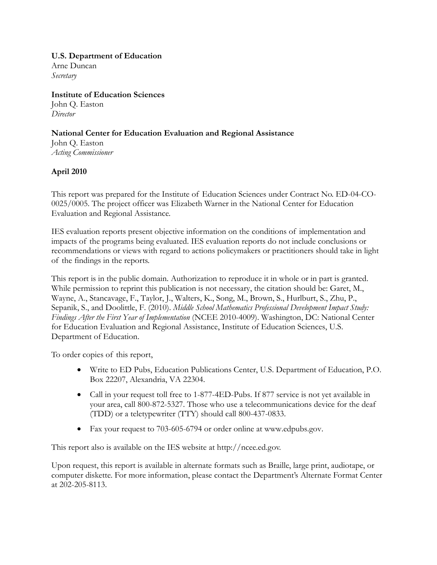#### **U.S. Department of Education**

Arne Duncan *Secretary* 

**Institute of Education Sciences**  John Q. Easton *Director* 

**National Center for Education Evaluation and Regional Assistance**  John Q. Easton *Acting Commissioner* 

### **April 2010**

This report was prepared for the Institute of Education Sciences under Contract No. ED-04-CO-0025/0005. The project officer was Elizabeth Warner in the National Center for Education Evaluation and Regional Assistance.

IES evaluation reports present objective information on the conditions of implementation and impacts of the programs being evaluated. IES evaluation reports do not include conclusions or recommendations or views with regard to actions policymakers or practitioners should take in light of the findings in the reports.

This report is in the public domain. Authorization to reproduce it in whole or in part is granted. While permission to reprint this publication is not necessary, the citation should be: Garet, M., Wayne, A., Stancavage, F., Taylor, J., Walters, K., Song, M., Brown, S., Hurlburt, S., Zhu, P., Sepanik, S., and Doolittle, F. (2010). *Middle School Mathematics Professional Development Impact Study: Findings After the First Year of Implementation* (NCEE 2010-4009). Washington, DC: National Center for Education Evaluation and Regional Assistance, Institute of Education Sciences, U.S. Department of Education.

To order copies of this report,

- Write to ED Pubs, Education Publications Center, U.S. Department of Education, P.O. Box 22207, Alexandria, VA 22304.
- Call in your request toll free to 1-877-4ED-Pubs. If 877 service is not yet available in your area, call 800-872-5327. Those who use a telecommunications device for the deaf (TDD) or a teletypewriter (TTY) should call 800-437-0833.
- Fax your request to 703-605-6794 or order online at www.edpubs.gov.

This report also is available on the IES website at http://ncee.ed.gov.

Upon request, this report is available in alternate formats such as Braille, large print, audiotape, or computer diskette. For more information, please contact the Department's Alternate Format Center at 202-205-8113.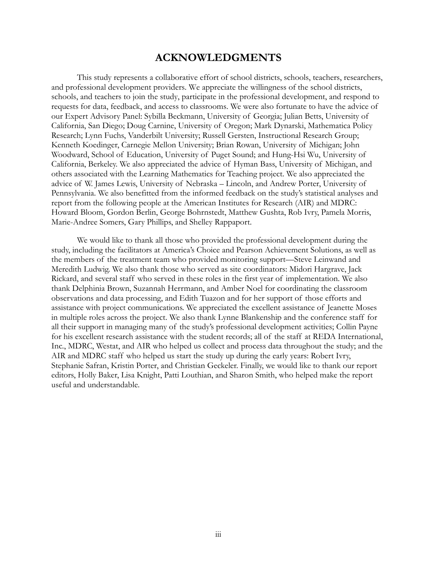## **ACKNOWLEDGMENTS**

This study represents a collaborative effort of school districts, schools, teachers, researchers, and professional development providers. We appreciate the willingness of the school districts, schools, and teachers to join the study, participate in the professional development, and respond to requests for data, feedback, and access to classrooms. We were also fortunate to have the advice of our Expert Advisory Panel: Sybilla Beckmann, University of Georgia; Julian Betts, University of California, San Diego; Doug Carnine, University of Oregon; Mark Dynarski, Mathematica Policy Research; Lynn Fuchs, Vanderbilt University; Russell Gersten, Instructional Research Group; Kenneth Koedinger, Carnegie Mellon University; Brian Rowan, University of Michigan; John Woodward, School of Education, University of Puget Sound; and Hung-Hsi Wu, University of California, Berkeley. We also appreciated the advice of Hyman Bass, University of Michigan, and others associated with the Learning Mathematics for Teaching project. We also appreciated the advice of W. James Lewis, University of Nebraska – Lincoln, and Andrew Porter, University of Pennsylvania. We also benefitted from the informed feedback on the study's statistical analyses and report from the following people at the American Institutes for Research (AIR) and MDRC: Howard Bloom, Gordon Berlin, George Bohrnstedt, Matthew Gushta, Rob Ivry, Pamela Morris, Marie-Andree Somers, Gary Phillips, and Shelley Rappaport.

We would like to thank all those who provided the professional development during the study, including the facilitators at America's Choice and Pearson Achievement Solutions, as well as the members of the treatment team who provided monitoring support—Steve Leinwand and Meredith Ludwig. We also thank those who served as site coordinators: Midori Hargrave, Jack Rickard, and several staff who served in these roles in the first year of implementation. We also thank Delphinia Brown, Suzannah Herrmann, and Amber Noel for coordinating the classroom observations and data processing, and Edith Tuazon and for her support of those efforts and assistance with project communications. We appreciated the excellent assistance of Jeanette Moses in multiple roles across the project. We also thank Lynne Blankenship and the conference staff for all their support in managing many of the study's professional development activities; Collin Payne for his excellent research assistance with the student records; all of the staff at REDA International, Inc., MDRC, Westat, and AIR who helped us collect and process data throughout the study; and the AIR and MDRC staff who helped us start the study up during the early years: Robert Ivry, Stephanie Safran, Kristin Porter, and Christian Geckeler. Finally, we would like to thank our report editors, Holly Baker, Lisa Knight, Patti Louthian, and Sharon Smith, who helped make the report useful and understandable.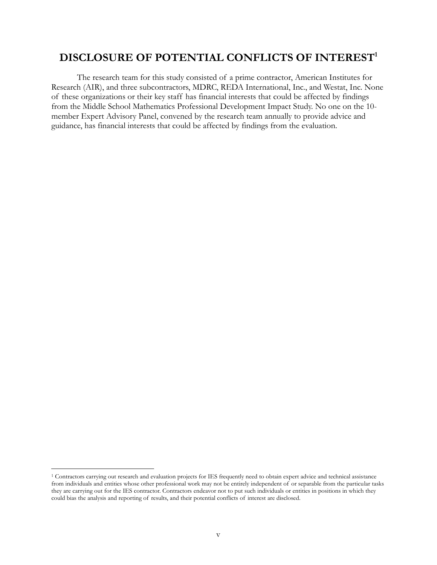# **DISCLOSURE OF POTENTIAL CONFLICTS OF INTEREST<sup>1</sup>**

The research team for this study consisted of a prime contractor, American Institutes for Research (AIR), and three subcontractors, MDRC, REDA International, Inc., and Westat, Inc. None of these organizations or their key staff has financial interests that could be affected by findings from the Middle School Mathematics Professional Development Impact Study. No one on the 10 member Expert Advisory Panel, convened by the research team annually to provide advice and guidance, has financial interests that could be affected by findings from the evaluation.

 $\overline{a}$ 

<sup>1</sup> Contractors carrying out research and evaluation projects for IES frequently need to obtain expert advice and technical assistance from individuals and entities whose other professional work may not be entirely independent of or separable from the particular tasks they are carrying out for the IES contractor. Contractors endeavor not to put such individuals or entities in positions in which they could bias the analysis and reporting of results, and their potential conflicts of interest are disclosed.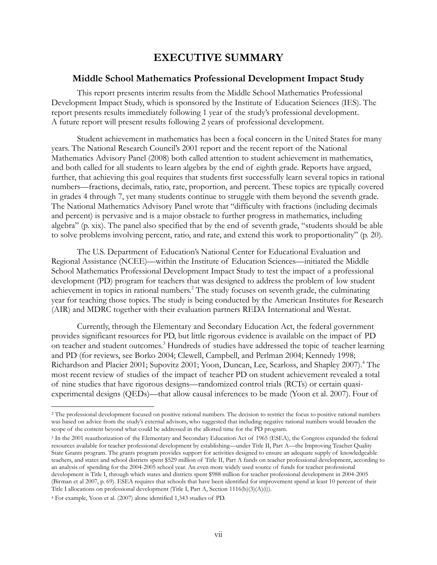# **EXECUTIVE SUMMARY**

#### **Middle School Mathematics Professional Development Impact Study**

This report presents interim results from the Middle School Mathematics Professional Development Impact Study, which is sponsored by the Institute of Education Sciences (IES). The report presents results immediately following 1 year of the study's professional development. A future report will present results following 2 years of professional development.

Student achievement in mathematics has been a focal concern in the United States for many years. The National Research Council's 2001 report and the recent report of the National Mathematics Advisory Panel (2008) both called attention to student achievement in mathematics, and both called for all students to learn algebra by the end of eighth grade. Reports have argued, further, that achieving this goal requires that students first successfully learn several topics in rational numbers—fractions, decimals, ratio, rate, proportion, and percent. These topics are typically covered in grades 4 through 7, yet many students continue to struggle with them beyond the seventh grade. The National Mathematics Advisory Panel wrote that "difficulty with fractions (including decimals and percent) is pervasive and is a major obstacle to further progress in mathematics, including algebra" (p. xix). The panel also specified that by the end of seventh grade, "students should be able to solve problems involving percent, ratio, and rate, and extend this work to proportionality" (p. 20).

The U.S. Department of Education's National Center for Educational Evaluation and Regional Assistance (NCEE)—within the Institute of Education Sciences—initiated the Middle School Mathematics Professional Development Impact Study to test the impact of a professional development (PD) program for teachers that was designed to address the problem of low student achievement in topics in rational numbers.<sup>2</sup> The study focuses on seventh grade, the culminating year for teaching those topics. The study is being conducted by the American Institutes for Research (AIR) and MDRC together with their evaluation partners REDA International and Westat.

Currently, through the Elementary and Secondary Education Act, the federal government provides significant resources for PD, but little rigorous evidence is available on the impact of PD on teacher and student outcomes.<sup>3</sup> Hundreds of studies have addressed the topic of teacher learning and PD (for reviews, see Borko 2004; Clewell, Campbell, and Perlman 2004; Kennedy 1998; Richardson and Placier 2001; Supovitz 2001; Yoon, Duncan, Lee, Scarloss, and Shapley 2007).<sup>4</sup> The most recent review of studies of the impact of teacher PD on student achievement revealed a total of nine studies that have rigorous designs—randomized control trials (RCTs) or certain quasiexperimental designs (QEDs)—that allow causal inferences to be made (Yoon et al. 2007). Four of

 $\overline{a}$ 

<sup>&</sup>lt;sup>2</sup> The professional development focused on positive rational numbers. The decision to restrict the focus to positive rational numbers was based on advice from the study's external advisors, who suggested that including negative rational numbers would broaden the scope of the content beyond what could be addressed in the allotted time for the PD program.

<sup>3</sup> In the 2001 reauthorization of the Elementary and Secondary Education Act of 1965 (ESEA), the Congress expanded the federal resources available for teacher professional development by establishing—under Title II, Part A—the Improving Teacher Quality State Grants program. The grants program provides support for activities designed to ensure an adequate supply of knowledgeable teachers, and states and school districts spent \$529 million of Title II, Part A funds on teacher professional development, according to an analysis of spending for the 2004-2005 school year. An even more widely used source of funds for teacher professional development is Title I, through which states and districts spent \$988 million for teacher professional development in 2004-2005 (Birman et al 2007, p. 69). ESEA requires that schools that have been identified for improvement spend at least 10 percent of their Title I allocations on professional development (Title I, Part A, Section 1116(b)(3)(A)(i)).

<sup>4</sup> For example, Yoon et al. (2007) alone identified 1,343 studies of PD.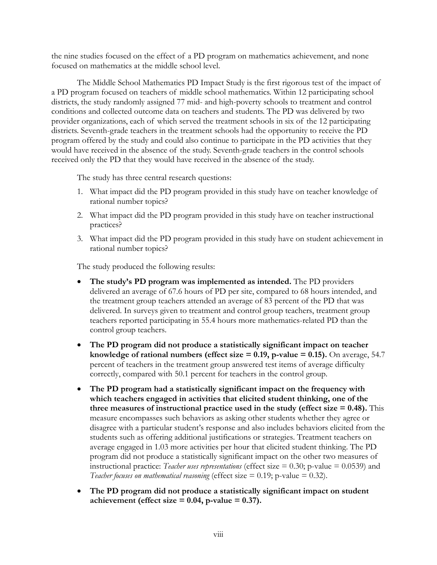the nine studies focused on the effect of a PD program on mathematics achievement, and none focused on mathematics at the middle school level.

The Middle School Mathematics PD Impact Study is the first rigorous test of the impact of a PD program focused on teachers of middle school mathematics. Within 12 participating school districts, the study randomly assigned 77 mid- and high-poverty schools to treatment and control conditions and collected outcome data on teachers and students. The PD was delivered by two provider organizations, each of which served the treatment schools in six of the 12 participating districts. Seventh-grade teachers in the treatment schools had the opportunity to receive the PD program offered by the study and could also continue to participate in the PD activities that they would have received in the absence of the study. Seventh-grade teachers in the control schools received only the PD that they would have received in the absence of the study.

The study has three central research questions:

- 1. What impact did the PD program provided in this study have on teacher knowledge of rational number topics?
- 2. What impact did the PD program provided in this study have on teacher instructional practices?
- 3. What impact did the PD program provided in this study have on student achievement in rational number topics?

The study produced the following results:

- **The study's PD program was implemented as intended.** The PD providers delivered an average of 67.6 hours of PD per site, compared to 68 hours intended, and the treatment group teachers attended an average of 83 percent of the PD that was delivered. In surveys given to treatment and control group teachers, treatment group teachers reported participating in 55.4 hours more mathematics-related PD than the control group teachers.
- **The PD program did not produce a statistically significant impact on teacher knowledge of rational numbers (effect size = 0.19, p-value = 0.15).** On average, 54.7 percent of teachers in the treatment group answered test items of average difficulty correctly, compared with 50.1 percent for teachers in the control group.
- **The PD program had a statistically significant impact on the frequency with which teachers engaged in activities that elicited student thinking, one of the three measures of instructional practice used in the study (effect size = 0.48).** This measure encompasses such behaviors as asking other students whether they agree or disagree with a particular student's response and also includes behaviors elicited from the students such as offering additional justifications or strategies. Treatment teachers on average engaged in 1.03 more activities per hour that elicited student thinking. The PD program did not produce a statistically significant impact on the other two measures of instructional practice: *Teacher uses representations* (effect size = 0.30; p-value = 0.0539) and *Teacher focuses on mathematical reasoning* (effect size  $= 0.19$ ; p-value  $= 0.32$ ).
- **The PD program did not produce a statistically significant impact on student**  achievement (effect size  $= 0.04$ , p-value  $= 0.37$ ).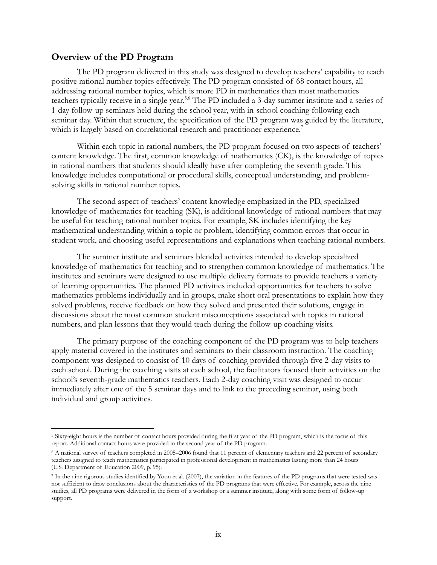### **Overview of the PD Program**

 $\overline{a}$ 

The PD program delivered in this study was designed to develop teachers' capability to teach positive rational number topics effectively. The PD program consisted of 68 contact hours, all addressing rational number topics, which is more PD in mathematics than most mathematics teachers typically receive in a single year.<sup>5,6</sup> The PD included a 3-day summer institute and a series of 1-day follow-up seminars held during the school year, with in-school coaching following each seminar day. Within that structure, the specification of the PD program was guided by the literature, which is largely based on correlational research and practitioner experience.<sup>7</sup>

Within each topic in rational numbers, the PD program focused on two aspects of teachers' content knowledge. The first, common knowledge of mathematics (CK), is the knowledge of topics in rational numbers that students should ideally have after completing the seventh grade. This knowledge includes computational or procedural skills, conceptual understanding, and problemsolving skills in rational number topics.

The second aspect of teachers' content knowledge emphasized in the PD, specialized knowledge of mathematics for teaching (SK), is additional knowledge of rational numbers that may be useful for teaching rational number topics. For example, SK includes identifying the key mathematical understanding within a topic or problem, identifying common errors that occur in student work, and choosing useful representations and explanations when teaching rational numbers.

The summer institute and seminars blended activities intended to develop specialized knowledge of mathematics for teaching and to strengthen common knowledge of mathematics. The institutes and seminars were designed to use multiple delivery formats to provide teachers a variety of learning opportunities. The planned PD activities included opportunities for teachers to solve mathematics problems individually and in groups, make short oral presentations to explain how they solved problems, receive feedback on how they solved and presented their solutions, engage in discussions about the most common student misconceptions associated with topics in rational numbers, and plan lessons that they would teach during the follow-up coaching visits.

The primary purpose of the coaching component of the PD program was to help teachers apply material covered in the institutes and seminars to their classroom instruction. The coaching component was designed to consist of 10 days of coaching provided through five 2-day visits to each school. During the coaching visits at each school, the facilitators focused their activities on the school's seventh-grade mathematics teachers. Each 2-day coaching visit was designed to occur immediately after one of the 5 seminar days and to link to the preceding seminar, using both individual and group activities.

<sup>5</sup> Sixty-eight hours is the number of contact hours provided during the first year of the PD program, which is the focus of this report. Additional contact hours were provided in the second year of the PD program.

<sup>6</sup> A national survey of teachers completed in 2005–2006 found that 11 percent of elementary teachers and 22 percent of secondary teachers assigned to teach mathematics participated in professional development in mathematics lasting more than 24 hours (U.S. Department of Education 2009, p. 95).

<sup>7</sup> In the nine rigorous studies identified by Yoon et al. (2007), the variation in the features of the PD programs that were tested was not sufficient to draw conclusions about the characteristics of the PD programs that were effective. For example, across the nine studies, all PD programs were delivered in the form of a workshop or a summer institute, along with some form of follow-up support.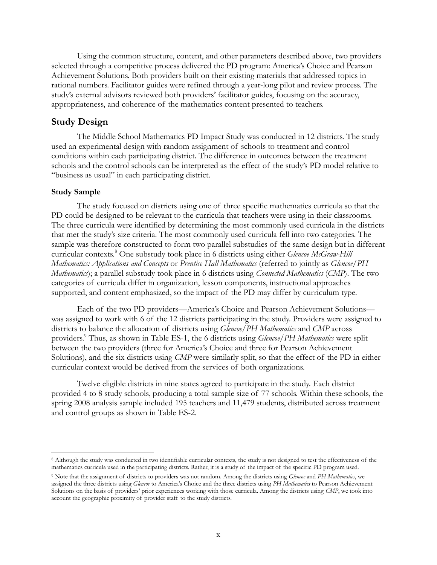Using the common structure, content, and other parameters described above, two providers selected through a competitive process delivered the PD program: America's Choice and Pearson Achievement Solutions. Both providers built on their existing materials that addressed topics in rational numbers. Facilitator guides were refined through a year-long pilot and review process. The study's external advisors reviewed both providers' facilitator guides, focusing on the accuracy, appropriateness, and coherence of the mathematics content presented to teachers.

### **Study Design**

The Middle School Mathematics PD Impact Study was conducted in 12 districts. The study used an experimental design with random assignment of schools to treatment and control conditions within each participating district. The difference in outcomes between the treatment schools and the control schools can be interpreted as the effect of the study's PD model relative to "business as usual" in each participating district.

#### **Study Sample**

 $\overline{a}$ 

The study focused on districts using one of three specific mathematics curricula so that the PD could be designed to be relevant to the curricula that teachers were using in their classrooms. The three curricula were identified by determining the most commonly used curricula in the districts that met the study's size criteria. The most commonly used curricula fell into two categories. The sample was therefore constructed to form two parallel substudies of the same design but in different curricular contexts.<sup>8</sup> One substudy took place in 6 districts using either *Glencoe McGraw-Hill Mathematics: Applications and Concepts* or *Prentice Hall Mathematics* (referred to jointly as *Glencoe/PH Mathematics*); a parallel substudy took place in 6 districts using *Connected Mathematics* (*CMP*). The two categories of curricula differ in organization, lesson components, instructional approaches supported, and content emphasized, so the impact of the PD may differ by curriculum type.

Each of the two PD providers—America's Choice and Pearson Achievement Solutions was assigned to work with 6 of the 12 districts participating in the study. Providers were assigned to districts to balance the allocation of districts using *Glencoe/PH Mathematics* and *CMP* across providers.<sup>9</sup> Thus, as shown in Table ES-1, the 6 districts using *Glencoe/PH Mathematics* were split between the two providers (three for America's Choice and three for Pearson Achievement Solutions), and the six districts using *CMP* were similarly split, so that the effect of the PD in either curricular context would be derived from the services of both organizations.

Twelve eligible districts in nine states agreed to participate in the study. Each district provided 4 to 8 study schools, producing a total sample size of 77 schools. Within these schools, the spring 2008 analysis sample included 195 teachers and 11,479 students, distributed across treatment and control groups as shown in Table ES-2.

<sup>8</sup> Although the study was conducted in two identifiable curricular contexts, the study is not designed to test the effectiveness of the mathematics curricula used in the participating districts. Rather, it is a study of the impact of the specific PD program used.

<sup>9</sup> Note that the assignment of districts to providers was not random. Among the districts using *Glencoe* and *PH Mathematics*, we assigned the three districts using *Glencoe* to America's Choice and the three districts using *PH Mathematics* to Pearson Achievement Solutions on the basis of providers' prior experiences working with those curricula. Among the districts using *CMP*, we took into account the geographic proximity of provider staff to the study districts.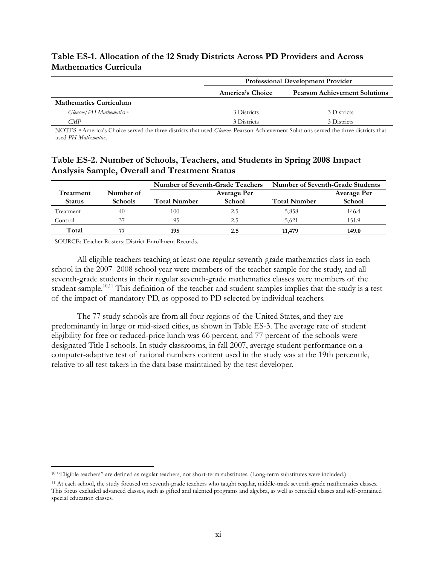## **Table ES-1. Allocation of the 12 Study Districts Across PD Providers and Across Mathematics Curricula**

|                               |                  | <b>Professional Development Provider</b> |  |  |
|-------------------------------|------------------|------------------------------------------|--|--|
|                               | America's Choice | <b>Pearson Achievement Solutions</b>     |  |  |
| <b>Mathematics Curriculum</b> |                  |                                          |  |  |
| Glencoe/PH Mathematics a      | 3 Districts      | 3 Districts                              |  |  |
| CMP                           | 3 Districts      | 3 Districts                              |  |  |

NOTES: a America's Choice served the three districts that used *Glencoe*. Pearson Achievement Solutions served the three districts that used *PH Mathematics*.

## **Table ES-2. Number of Schools, Teachers, and Students in Spring 2008 Impact Analysis Sample, Overall and Treatment Status**

|               |                | Number of Seventh-Grade Teachers |                    | Number of Seventh-Grade Students |                    |
|---------------|----------------|----------------------------------|--------------------|----------------------------------|--------------------|
| Treatment     | Number of      |                                  | <b>Average Per</b> |                                  | <b>Average Per</b> |
| <b>Status</b> | <b>Schools</b> | <b>Total Number</b>              | School             | <b>Total Number</b>              | School             |
| Treatment     | 40             | 100                              | 2.5                | 5,858                            | 146.4              |
| Control       | 37             | 95                               | 2.5                | 5.621                            | 151.9              |
| Total         |                | 195                              | 2.5                | 11,479                           | 149.0              |

SOURCE: Teacher Rosters; District Enrollment Records.

All eligible teachers teaching at least one regular seventh-grade mathematics class in each school in the 2007–2008 school year were members of the teacher sample for the study, and all seventh-grade students in their regular seventh-grade mathematics classes were members of the student sample.<sup>10,11</sup> This definition of the teacher and student samples implies that the study is a test of the impact of mandatory PD, as opposed to PD selected by individual teachers.

The 77 study schools are from all four regions of the United States, and they are predominantly in large or mid-sized cities, as shown in Table ES-3. The average rate of student eligibility for free or reduced-price lunch was 66 percent, and 77 percent of the schools were designated Title I schools. In study classrooms, in fall 2007, average student performance on a computer-adaptive test of rational numbers content used in the study was at the 19th percentile, relative to all test takers in the data base maintained by the test developer.

 $\overline{a}$ 10 "Eligible teachers" are defined as regular teachers, not short-term substitutes. (Long-term substitutes were included.)

<sup>11</sup> At each school, the study focused on seventh-grade teachers who taught regular, middle-track seventh-grade mathematics classes. This focus excluded advanced classes, such as gifted and talented programs and algebra, as well as remedial classes and self-contained special education classes.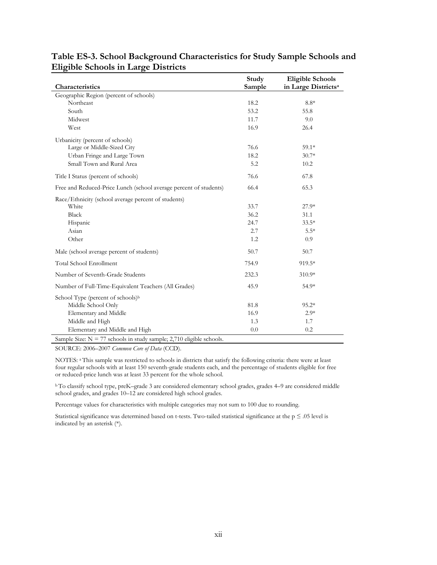| Characteristics                                                        | Study<br>Sample | <b>Eligible Schools</b><br>in Large Districts <sup>a</sup> |
|------------------------------------------------------------------------|-----------------|------------------------------------------------------------|
| Geographic Region (percent of schools)                                 |                 |                                                            |
| Northeast                                                              | 18.2            | $8.8*$                                                     |
| South                                                                  | 53.2            | 55.8                                                       |
| Midwest                                                                | 11.7            | 9.0                                                        |
| West                                                                   | 16.9            | 26.4                                                       |
| Urbanicity (percent of schools)                                        |                 |                                                            |
| Large or Middle-Sized City                                             | 76.6            | $59.1*$                                                    |
| Urban Fringe and Large Town                                            | 18.2            | $30.7*$                                                    |
| Small Town and Rural Area                                              | 5.2             | 10.2                                                       |
| Title I Status (percent of schools)                                    | 76.6            | 67.8                                                       |
| Free and Reduced-Price Lunch (school average percent of students)      | 66.4            | 65.3                                                       |
| Race/Ethnicity (school average percent of students)                    |                 |                                                            |
| White                                                                  | 33.7            | $27.9*$                                                    |
| Black                                                                  | 36.2            | 31.1                                                       |
| Hispanic                                                               | 24.7            | $33.5*$                                                    |
| Asian                                                                  | 2.7             | $5.5*$                                                     |
| Other                                                                  | 1.2             | 0.9                                                        |
| Male (school average percent of students)                              | 50.7            | 50.7                                                       |
| Total School Enrollment                                                | 754.9           | 919.5*                                                     |
| Number of Seventh-Grade Students                                       | 232.3           | 310.9*                                                     |
| Number of Full-Time-Equivalent Teachers (All Grades)                   | 45.9            | 54.9*                                                      |
| School Type (percent of schools) <sup>b</sup>                          |                 |                                                            |
| Middle School Only                                                     | 81.8            | $95.2*$                                                    |
| Elementary and Middle                                                  | 16.9            | $2.9*$                                                     |
| Middle and High                                                        | 1.3             | 1.7                                                        |
| Elementary and Middle and High                                         | 0.0             | 0.2                                                        |
| Sample Size: $N = 77$ schools in study sample; 2,710 eligible schools. |                 |                                                            |

## **Table ES-3. School Background Characteristics for Study Sample Schools and Eligible Schools in Large Districts**

SOURCE: 2006–2007 *Common Core of Data* (CCD).

NOTES: a This sample was restricted to schools in districts that satisfy the following criteria: there were at least four regular schools with at least 150 seventh-grade students each, and the percentage of students eligible for free or reduced-price lunch was at least 33 percent for the whole school.

<sup>b</sup>To classify school type, preK–grade 3 are considered elementary school grades, grades 4–9 are considered middle school grades, and grades 10–12 are considered high school grades.

Percentage values for characteristics with multiple categories may not sum to 100 due to rounding.

Statistical significance was determined based on t-tests. Two-tailed statistical significance at the  $p \le 0.05$  level is indicated by an asterisk (\*).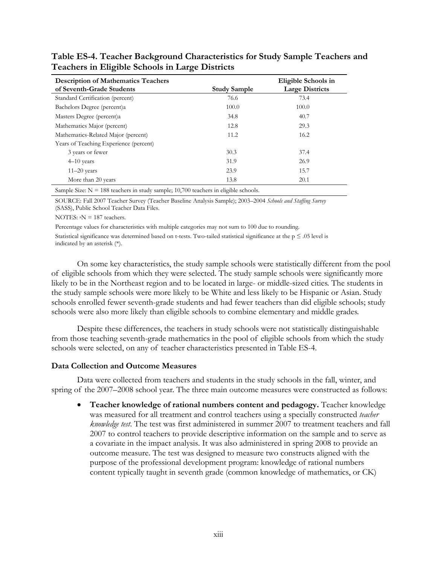| <b>Description of Mathematics Teachers</b><br>of Seventh-Grade Students | <b>Study Sample</b> | Eligible Schools in<br><b>Large Districts</b> |
|-------------------------------------------------------------------------|---------------------|-----------------------------------------------|
| Standard Certification (percent)                                        | 76.6                | 73.4                                          |
| Bachelors Degree (percent)a                                             | 100.0               | 100.0                                         |
| Masters Degree (percent)a                                               | 34.8                | 40.7                                          |
| Mathematics Major (percent)                                             | 12.8                | 29.3                                          |
| Mathematics-Related Major (percent)                                     | 11.2                | 16.2                                          |
| Years of Teaching Experience (percent)                                  |                     |                                               |
| 3 years or fewer                                                        | 30.3                | 37.4                                          |
| $4-10$ years                                                            | 31.9                | 26.9                                          |
| $11-20$ years                                                           | 23.9                | 15.7                                          |
| More than 20 years                                                      | 13.8                | 20.1                                          |

**Table ES-4. Teacher Background Characteristics for Study Sample Teachers and Teachers in Eligible Schools in Large Districts** 

Sample Size:  $N = 188$  teachers in study sample; 10,700 teachers in eligible schools.

SOURCE: Fall 2007 Teacher Survey (Teacher Baseline Analysis Sample); 2003–2004 *Schools and Staffing Survey* (SASS), Public School Teacher Data Files.

NOTES:  $aN = 187$  teachers.

Percentage values for characteristics with multiple categories may not sum to 100 due to rounding.

Statistical significance was determined based on t-tests. Two-tailed statistical significance at the  $p \le 0.05$  level is indicated by an asterisk (\*).

On some key characteristics, the study sample schools were statistically different from the pool of eligible schools from which they were selected. The study sample schools were significantly more likely to be in the Northeast region and to be located in large- or middle-sized cities. The students in the study sample schools were more likely to be White and less likely to be Hispanic or Asian. Study schools enrolled fewer seventh-grade students and had fewer teachers than did eligible schools; study schools were also more likely than eligible schools to combine elementary and middle grades.

Despite these differences, the teachers in study schools were not statistically distinguishable from those teaching seventh-grade mathematics in the pool of eligible schools from which the study schools were selected, on any of teacher characteristics presented in Table ES-4.

## **Data Collection and Outcome Measures**

Data were collected from teachers and students in the study schools in the fall, winter, and spring of the 2007–2008 school year. The three main outcome measures were constructed as follows:

 **Teacher knowledge of rational numbers content and pedagogy.** Teacher knowledge was measured for all treatment and control teachers using a specially constructed *teacher knowledge test*. The test was first administered in summer 2007 to treatment teachers and fall 2007 to control teachers to provide descriptive information on the sample and to serve as a covariate in the impact analysis. It was also administered in spring 2008 to provide an outcome measure. The test was designed to measure two constructs aligned with the purpose of the professional development program: knowledge of rational numbers content typically taught in seventh grade (common knowledge of mathematics, or CK)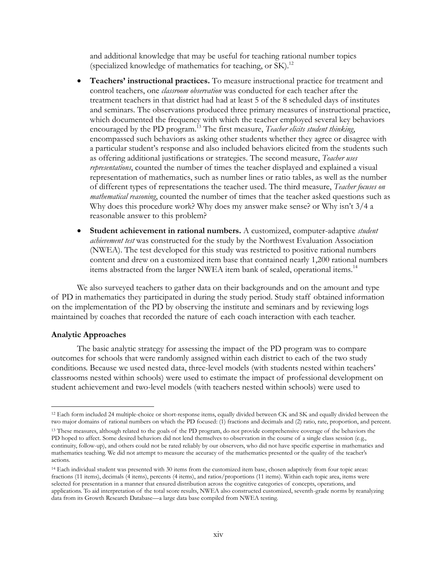and additional knowledge that may be useful for teaching rational number topics (specialized knowledge of mathematics for teaching, or SK).<sup>12</sup>

- **Teachers' instructional practices.** To measure instructional practice for treatment and control teachers, one *classroom observation* was conducted for each teacher after the treatment teachers in that district had had at least 5 of the 8 scheduled days of institutes and seminars. The observations produced three primary measures of instructional practice, which documented the frequency with which the teacher employed several key behaviors encouraged by the PD program.<sup>13</sup> The first measure, *Teacher elicits student thinking*, encompassed such behaviors as asking other students whether they agree or disagree with a particular student's response and also included behaviors elicited from the students such as offering additional justifications or strategies. The second measure, *Teacher uses representations*, counted the number of times the teacher displayed and explained a visual representation of mathematics, such as number lines or ratio tables, as well as the number of different types of representations the teacher used. The third measure, *Teacher focuses on mathematical reasoning*, counted the number of times that the teacher asked questions such as Why does this procedure work? Why does my answer make sense? or Why isn't 3/4 a reasonable answer to this problem?
- **Student achievement in rational numbers.** A customized, computer-adaptive *student achievement test* was constructed for the study by the Northwest Evaluation Association (NWEA). The test developed for this study was restricted to positive rational numbers content and drew on a customized item base that contained nearly 1,200 rational numbers items abstracted from the larger NWEA item bank of scaled, operational items.<sup>14</sup>

We also surveyed teachers to gather data on their backgrounds and on the amount and type of PD in mathematics they participated in during the study period. Study staff obtained information on the implementation of the PD by observing the institute and seminars and by reviewing logs maintained by coaches that recorded the nature of each coach interaction with each teacher.

#### **Analytic Approaches**

The basic analytic strategy for assessing the impact of the PD program was to compare outcomes for schools that were randomly assigned within each district to each of the two study conditions. Because we used nested data, three-level models (with students nested within teachers' classrooms nested within schools) were used to estimate the impact of professional development on student achievement and two-level models (with teachers nested within schools) were used to

 $\overline{a}$ <sup>12</sup> Each form included 24 multiple-choice or short-response items, equally divided between CK and SK and equally divided between the two major domains of rational numbers on which the PD focused: (1) fractions and decimals and (2) ratio, rate, proportion, and percent.

<sup>13</sup> These measures, although related to the goals of the PD program, do not provide comprehensive coverage of the behaviors the PD hoped to affect. Some desired behaviors did not lend themselves to observation in the course of a single class session (e.g., continuity, follow-up), and others could not be rated reliably by our observers, who did not have specific expertise in mathematics and mathematics teaching. We did not attempt to measure the accuracy of the mathematics presented or the quality of the teacher's actions.

<sup>14</sup> Each individual student was presented with 30 items from the customized item base, chosen adaptively from four topic areas: fractions (11 items), decimals (4 items), percents (4 items), and ratios/proportions (11 items). Within each topic area, items were selected for presentation in a manner that ensured distribution across the cognitive categories of concepts, operations, and applications. To aid interpretation of the total score results, NWEA also constructed customized, seventh-grade norms by reanalyzing data from its Growth Research Database—a large data base compiled from NWEA testing.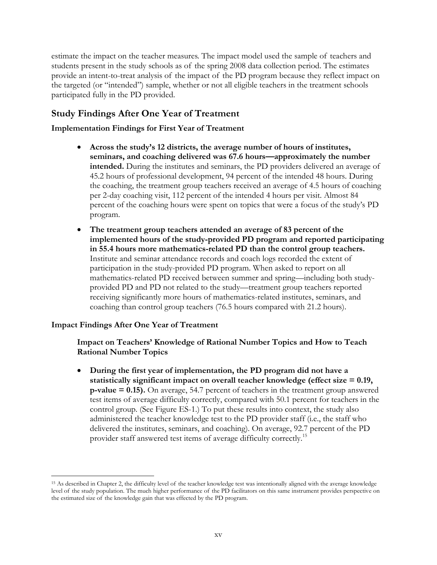estimate the impact on the teacher measures. The impact model used the sample of teachers and students present in the study schools as of the spring 2008 data collection period. The estimates provide an intent-to-treat analysis of the impact of the PD program because they reflect impact on the targeted (or "intended") sample, whether or not all eligible teachers in the treatment schools participated fully in the PD provided.

## **Study Findings After One Year of Treatment**

## **Implementation Findings for First Year of Treatment**

- **Across the study's 12 districts, the average number of hours of institutes, seminars, and coaching delivered was 67.6 hours—approximately the number intended.** During the institutes and seminars, the PD providers delivered an average of 45.2 hours of professional development, 94 percent of the intended 48 hours. During the coaching, the treatment group teachers received an average of 4.5 hours of coaching per 2-day coaching visit, 112 percent of the intended 4 hours per visit. Almost 84 percent of the coaching hours were spent on topics that were a focus of the study's PD program.
- **The treatment group teachers attended an average of 83 percent of the implemented hours of the study-provided PD program and reported participating in 55.4 hours more mathematics-related PD than the control group teachers.**  Institute and seminar attendance records and coach logs recorded the extent of participation in the study-provided PD program. When asked to report on all mathematics-related PD received between summer and spring—including both studyprovided PD and PD not related to the study—treatment group teachers reported receiving significantly more hours of mathematics-related institutes, seminars, and coaching than control group teachers (76.5 hours compared with 21.2 hours).

### **Impact Findings After One Year of Treatment**

 $\overline{a}$ 

### **Impact on Teachers' Knowledge of Rational Number Topics and How to Teach Rational Number Topics**

 **During the first year of implementation, the PD program did not have a statistically significant impact on overall teacher knowledge (effect size = 0.19, p-value = 0.15).** On average, 54.7 percent of teachers in the treatment group answered test items of average difficulty correctly, compared with 50.1 percent for teachers in the control group. (See Figure ES-1.) To put these results into context, the study also administered the teacher knowledge test to the PD provider staff (i.e., the staff who delivered the institutes, seminars, and coaching). On average, 92.7 percent of the PD provider staff answered test items of average difficulty correctly.<sup>15</sup>

<sup>15</sup> As described in Chapter 2, the difficulty level of the teacher knowledge test was intentionally aligned with the average knowledge level of the study population. The much higher performance of the PD facilitators on this same instrument provides perspective on the estimated size of the knowledge gain that was effected by the PD program.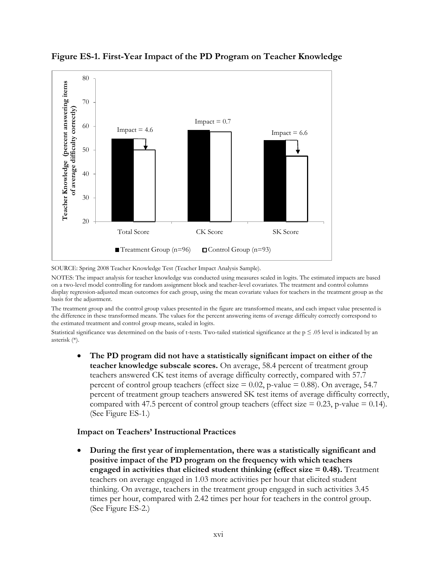

**Figure ES-1. First-Year Impact of the PD Program on Teacher Knowledge** 

SOURCE: Spring 2008 Teacher Knowledge Test (Teacher Impact Analysis Sample).

NOTES: The impact analysis for teacher knowledge was conducted using measures scaled in logits. The estimated impacts are based on a two-level model controlling for random assignment block and teacher-level covariates. The treatment and control columns display regression-adjusted mean outcomes for each group, using the mean covariate values for teachers in the treatment group as the basis for the adjustment.

The treatment group and the control group values presented in the figure are transformed means, and each impact value presented is the difference in these transformed means. The values for the percent answering items of average difficulty correctly correspond to the estimated treatment and control group means, scaled in logits.

Statistical significance was determined on the basis of t-tests. Two-tailed statistical significance at the  $p \le 0.05$  level is indicated by an asterisk (\*).

 **The PD program did not have a statistically significant impact on either of the teacher knowledge subscale scores.** On average, 58.4 percent of treatment group teachers answered CK test items of average difficulty correctly, compared with 57.7 percent of control group teachers (effect size  $= 0.02$ , p-value  $= 0.88$ ). On average, 54.7 percent of treatment group teachers answered SK test items of average difficulty correctly, compared with 47.5 percent of control group teachers (effect size  $= 0.23$ , p-value  $= 0.14$ ). (See Figure ES-1.)

### **Impact on Teachers' Instructional Practices**

 **During the first year of implementation, there was a statistically significant and positive impact of the PD program on the frequency with which teachers engaged in activities that elicited student thinking (effect size**  $= 0.48$ **).** Treatment teachers on average engaged in 1.03 more activities per hour that elicited student thinking. On average, teachers in the treatment group engaged in such activities 3.45 times per hour, compared with 2.42 times per hour for teachers in the control group. (See Figure ES-2.)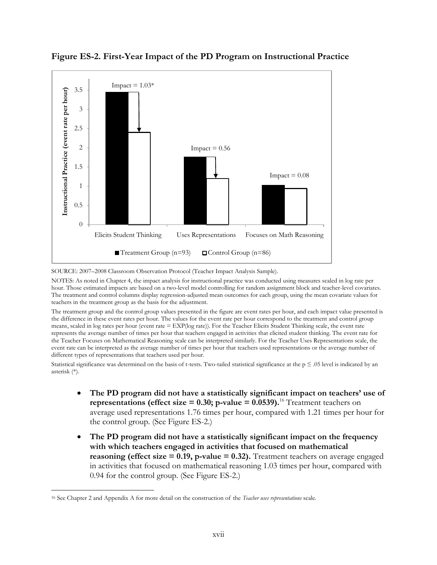

**Figure ES-2. First-Year Impact of the PD Program on Instructional Practice** 

SOURCE: 2007–2008 Classroom Observation Protocol (Teacher Impact Analysis Sample).

NOTES: As noted in Chapter 4, the impact analysis for instructional practice was conducted using measures scaled in log rate per hour. Those estimated impacts are based on a two-level model controlling for random assignment block and teacher-level covariates. The treatment and control columns display regression-adjusted mean outcomes for each group, using the mean covariate values for teachers in the treatment group as the basis for the adjustment.

The treatment group and the control group values presented in the figure are event rates per hour, and each impact value presented is the difference in these event rates per hour. The values for the event rate per hour correspond to the treatment and control group means, scaled in log rates per hour (event rate = EXP(log rate)). For the Teacher Elicits Student Thinking scale, the event rate represents the average number of times per hour that teachers engaged in activities that elicited student thinking. The event rate for the Teacher Focuses on Mathematical Reasoning scale can be interpreted similarly. For the Teacher Uses Representations scale, the event rate can be interpreted as the average number of times per hour that teachers used representations or the average number of different types of representations that teachers used per hour.

Statistical significance was determined on the basis of t-tests. Two-tailed statistical significance at the  $p \leq .05$  level is indicated by an asterisk (\*).

- **The PD program did not have a statistically significant impact on teachers' use of representations (effect size =**  $0.30$ **; p-value =**  $0.0539$ **).**<sup>16</sup> Treatment teachers on average used representations 1.76 times per hour, compared with 1.21 times per hour for the control group. (See Figure ES-2.)
- **The PD program did not have a statistically significant impact on the frequency with which teachers engaged in activities that focused on mathematical reasoning (effect size**  $= 0.19$ **, p-value**  $= 0.32$ **).** Treatment teachers on average engaged in activities that focused on mathematical reasoning 1.03 times per hour, compared with 0.94 for the control group. (See Figure ES-2.)

 $\overline{a}$ 

<sup>16</sup> See Chapter 2 and Appendix A for more detail on the construction of the *Teacher uses representations* scale.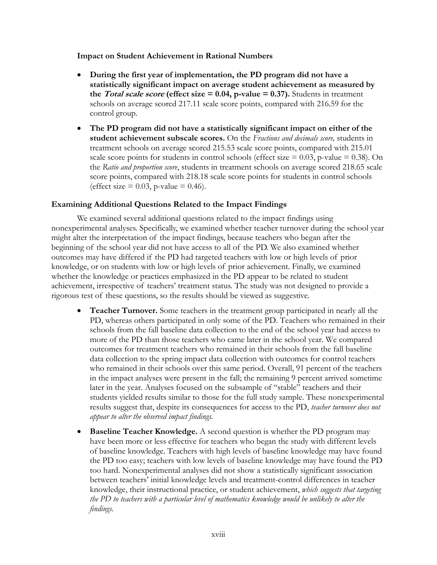#### **Impact on Student Achievement in Rational Numbers**

- **During the first year of implementation, the PD program did not have a statistically significant impact on average student achievement as measured by the** *Total scale score* (effect size  $= 0.04$ , p-value  $= 0.37$ ). Students in treatment schools on average scored 217.11 scale score points, compared with 216.59 for the control group.
- **The PD program did not have a statistically significant impact on either of the student achievement subscale scores.** On the *Fractions and decimals score,* students in treatment schools on average scored 215.53 scale score points, compared with 215.01 scale score points for students in control schools (effect size  $= 0.03$ , p-value  $= 0.38$ ). On the *Ratio and proportion score*, students in treatment schools on average scored 218.65 scale score points, compared with 218.18 scale score points for students in control schools (effect size  $= 0.03$ , p-value  $= 0.46$ ).

#### **Examining Additional Questions Related to the Impact Findings**

We examined several additional questions related to the impact findings using nonexperimental analyses. Specifically, we examined whether teacher turnover during the school year might alter the interpretation of the impact findings, because teachers who began after the beginning of the school year did not have access to all of the PD. We also examined whether outcomes may have differed if the PD had targeted teachers with low or high levels of prior knowledge, or on students with low or high levels of prior achievement. Finally, we examined whether the knowledge or practices emphasized in the PD appear to be related to student achievement, irrespective of teachers' treatment status. The study was not designed to provide a rigorous test of these questions, so the results should be viewed as suggestive.

- **Teacher Turnover.** Some teachers in the treatment group participated in nearly all the PD, whereas others participated in only some of the PD. Teachers who remained in their schools from the fall baseline data collection to the end of the school year had access to more of the PD than those teachers who came later in the school year. We compared outcomes for treatment teachers who remained in their schools from the fall baseline data collection to the spring impact data collection with outcomes for control teachers who remained in their schools over this same period. Overall, 91 percent of the teachers in the impact analyses were present in the fall; the remaining 9 percent arrived sometime later in the year. Analyses focused on the subsample of "stable" teachers and their students yielded results similar to those for the full study sample. These nonexperimental results suggest that, despite its consequences for access to the PD, *teacher turnover does not appear to alter the observed impact findings.*
- **Baseline Teacher Knowledge.** A second question is whether the PD program may have been more or less effective for teachers who began the study with different levels of baseline knowledge. Teachers with high levels of baseline knowledge may have found the PD too easy; teachers with low levels of baseline knowledge may have found the PD too hard. Nonexperimental analyses did not show a statistically significant association between teachers' initial knowledge levels and treatment-control differences in teacher knowledge, their instructional practice, or student achievement, *which suggests that targeting the PD to teachers with a particular level of mathematics knowledge would be unlikely to alter the findings.*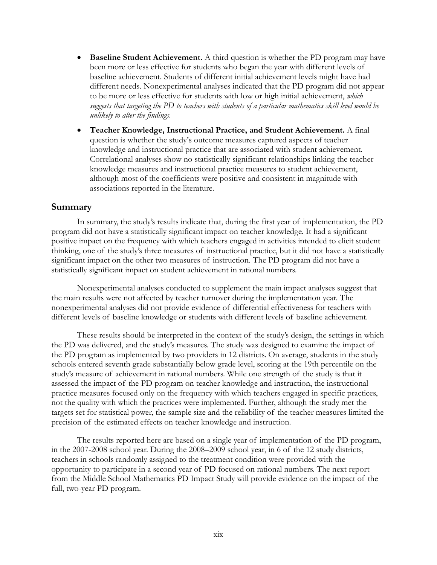- **Baseline Student Achievement.** A third question is whether the PD program may have been more or less effective for students who began the year with different levels of baseline achievement. Students of different initial achievement levels might have had different needs. Nonexperimental analyses indicated that the PD program did not appear to be more or less effective for students with low or high initial achievement, *which suggests that targeting the PD to teachers with students of a particular mathematics skill level would be unlikely to alter the findings.*
- **Teacher Knowledge, Instructional Practice, and Student Achievement.** A final question is whether the study's outcome measures captured aspects of teacher knowledge and instructional practice that are associated with student achievement. Correlational analyses show no statistically significant relationships linking the teacher knowledge measures and instructional practice measures to student achievement, although most of the coefficients were positive and consistent in magnitude with associations reported in the literature.

#### **Summary**

In summary, the study's results indicate that, during the first year of implementation, the PD program did not have a statistically significant impact on teacher knowledge. It had a significant positive impact on the frequency with which teachers engaged in activities intended to elicit student thinking, one of the study's three measures of instructional practice, but it did not have a statistically significant impact on the other two measures of instruction. The PD program did not have a statistically significant impact on student achievement in rational numbers.

Nonexperimental analyses conducted to supplement the main impact analyses suggest that the main results were not affected by teacher turnover during the implementation year. The nonexperimental analyses did not provide evidence of differential effectiveness for teachers with different levels of baseline knowledge or students with different levels of baseline achievement.

These results should be interpreted in the context of the study's design, the settings in which the PD was delivered, and the study's measures. The study was designed to examine the impact of the PD program as implemented by two providers in 12 districts. On average, students in the study schools entered seventh grade substantially below grade level, scoring at the 19th percentile on the study's measure of achievement in rational numbers. While one strength of the study is that it assessed the impact of the PD program on teacher knowledge and instruction, the instructional practice measures focused only on the frequency with which teachers engaged in specific practices, not the quality with which the practices were implemented. Further, although the study met the targets set for statistical power, the sample size and the reliability of the teacher measures limited the precision of the estimated effects on teacher knowledge and instruction.

The results reported here are based on a single year of implementation of the PD program, in the 2007-2008 school year. During the 2008–2009 school year, in 6 of the 12 study districts, teachers in schools randomly assigned to the treatment condition were provided with the opportunity to participate in a second year of PD focused on rational numbers. The next report from the Middle School Mathematics PD Impact Study will provide evidence on the impact of the full, two-year PD program.